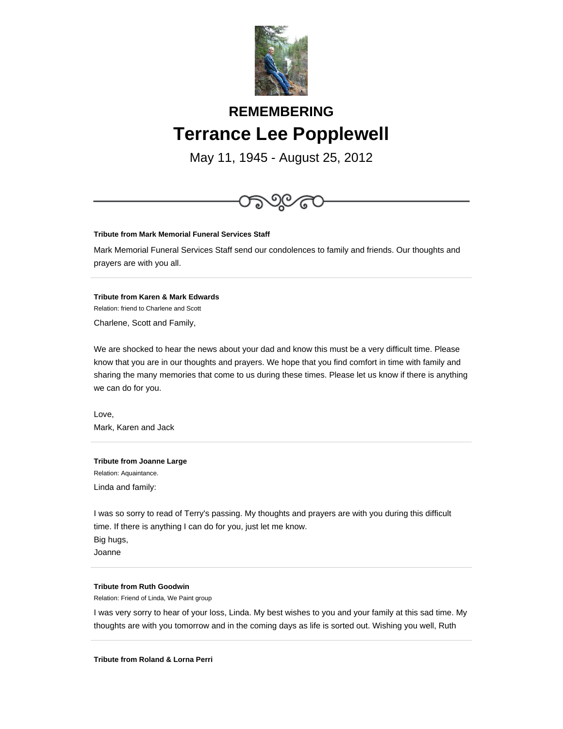

# **REMEMBERING Terrance Lee Popplewell**

May 11, 1945 - August 25, 2012



Mark, Karen and Jack

**Tribute from Joanne Large** Relation: Aquaintance. Linda and family:

I was so sorry to read of Terry's passing. My thoughts and prayers are with you during this difficult time. If there is anything I can do for you, just let me know. Big hugs, Joanne

#### **Tribute from Ruth Goodwin**

Relation: Friend of Linda, We Paint group

I was very sorry to hear of your loss, Linda. My best wishes to you and your family at this sad time. My thoughts are with you tomorrow and in the coming days as life is sorted out. Wishing you well, Ruth